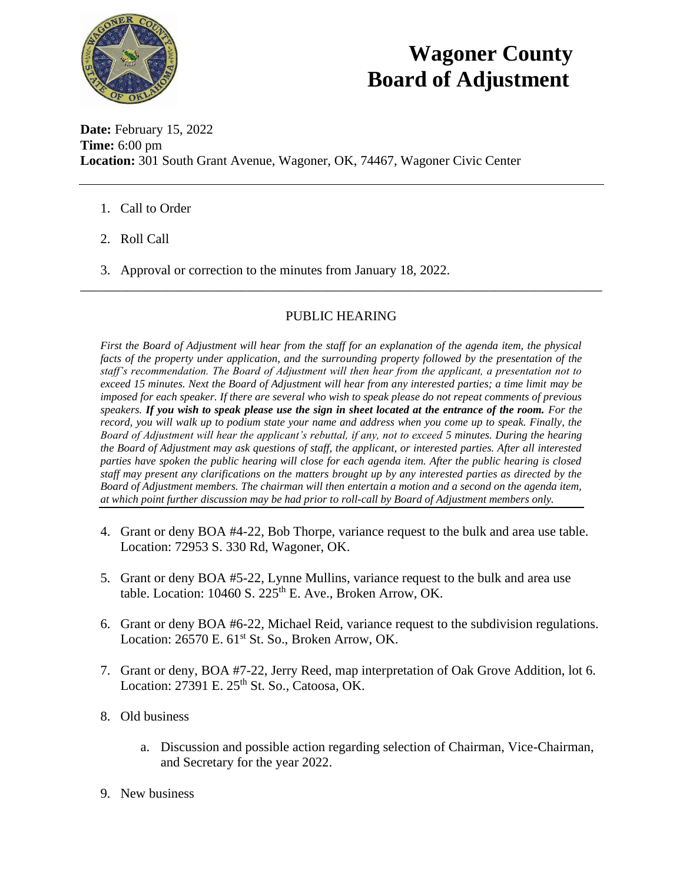

## **Wagoner County Board of Adjustment**

**Date:** February 15, 2022 **Time:** 6:00 pm **Location:** 301 South Grant Avenue, Wagoner, OK, 74467, Wagoner Civic Center

- 1. Call to Order
- 2. Roll Call
- 3. Approval or correction to the minutes from January 18, 2022.

## PUBLIC HEARING

\_\_\_\_\_\_\_\_\_\_\_\_\_\_\_\_\_\_\_\_\_\_\_\_\_\_\_\_\_\_\_\_\_\_\_\_\_\_\_\_\_\_\_\_\_\_\_\_\_\_\_\_\_\_\_\_\_\_\_\_\_\_\_\_\_\_\_\_\_\_\_\_\_\_\_\_\_\_

*First the Board of Adjustment will hear from the staff for an explanation of the agenda item, the physical facts of the property under application, and the surrounding property followed by the presentation of the staff's recommendation. The Board of Adjustment will then hear from the applicant, a presentation not to exceed 15 minutes. Next the Board of Adjustment will hear from any interested parties; a time limit may be imposed for each speaker. If there are several who wish to speak please do not repeat comments of previous speakers. If you wish to speak please use the sign in sheet located at the entrance of the room. For the record, you will walk up to podium state your name and address when you come up to speak. Finally, the Board of Adjustment will hear the applicant's rebuttal, if any, not to exceed 5 minutes. During the hearing the Board of Adjustment may ask questions of staff, the applicant, or interested parties. After all interested parties have spoken the public hearing will close for each agenda item. After the public hearing is closed staff may present any clarifications on the matters brought up by any interested parties as directed by the Board of Adjustment members. The chairman will then entertain a motion and a second on the agenda item, at which point further discussion may be had prior to roll-call by Board of Adjustment members only.* 

- 4. Grant or deny BOA #4-22, Bob Thorpe, variance request to the bulk and area use table. Location: 72953 S. 330 Rd, Wagoner, OK.
- 5. Grant or deny BOA #5-22, Lynne Mullins, variance request to the bulk and area use table. Location:  $10460$  S.  $225<sup>th</sup>$  E. Ave., Broken Arrow, OK.
- 6. Grant or deny BOA #6-22, Michael Reid, variance request to the subdivision regulations. Location: 26570 E. 61<sup>st</sup> St. So., Broken Arrow, OK.
- 7. Grant or deny, BOA #7-22, Jerry Reed, map interpretation of Oak Grove Addition, lot 6. Location: 27391 E. 25<sup>th</sup> St. So., Catoosa, OK.
- 8. Old business
	- a. Discussion and possible action regarding selection of Chairman, Vice-Chairman, and Secretary for the year 2022.
- 9. New business